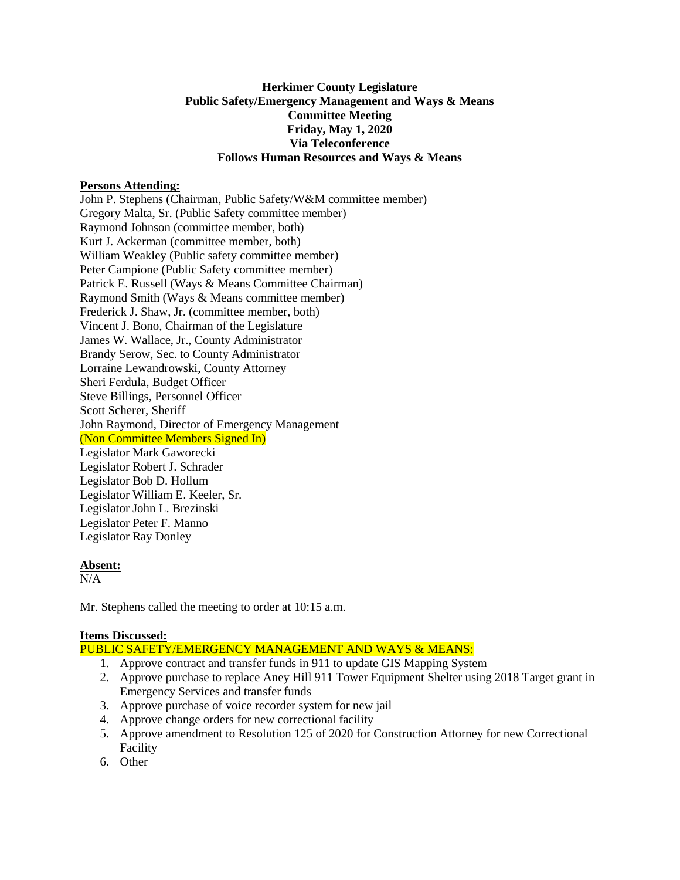# **Herkimer County Legislature Public Safety/Emergency Management and Ways & Means Committee Meeting Friday, May 1, 2020 Via Teleconference Follows Human Resources and Ways & Means**

### **Persons Attending:**

John P. Stephens (Chairman, Public Safety/W&M committee member) Gregory Malta, Sr. (Public Safety committee member) Raymond Johnson (committee member, both) Kurt J. Ackerman (committee member, both) William Weakley (Public safety committee member) Peter Campione (Public Safety committee member) Patrick E. Russell (Ways & Means Committee Chairman) Raymond Smith (Ways & Means committee member) Frederick J. Shaw, Jr. (committee member, both) Vincent J. Bono, Chairman of the Legislature James W. Wallace, Jr., County Administrator Brandy Serow, Sec. to County Administrator Lorraine Lewandrowski, County Attorney Sheri Ferdula, Budget Officer Steve Billings, Personnel Officer Scott Scherer, Sheriff John Raymond, Director of Emergency Management (Non Committee Members Signed In) Legislator Mark Gaworecki Legislator Robert J. Schrader Legislator Bob D. Hollum Legislator William E. Keeler, Sr. Legislator John L. Brezinski Legislator Peter F. Manno Legislator Ray Donley

### **Absent:**

 $N/A$ 

Mr. Stephens called the meeting to order at 10:15 a.m.

### **Items Discussed:**

PUBLIC SAFETY/EMERGENCY MANAGEMENT AND WAYS & MEANS:

- 1. Approve contract and transfer funds in 911 to update GIS Mapping System
- 2. Approve purchase to replace Aney Hill 911 Tower Equipment Shelter using 2018 Target grant in Emergency Services and transfer funds
- 3. Approve purchase of voice recorder system for new jail
- 4. Approve change orders for new correctional facility
- 5. Approve amendment to Resolution 125 of 2020 for Construction Attorney for new Correctional Facility
- 6. Other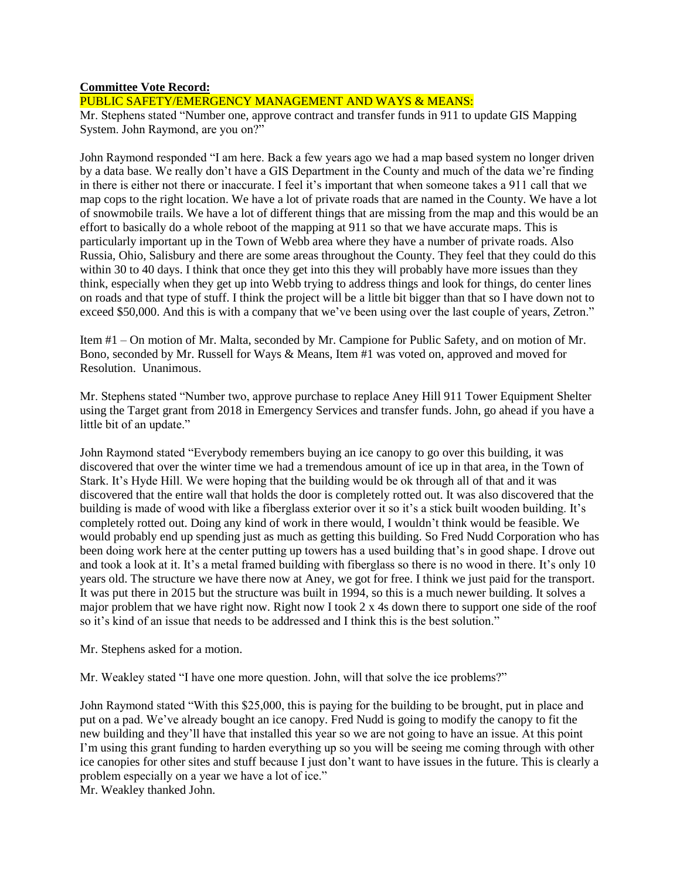#### **Committee Vote Record:**

# PUBLIC SAFETY/EMERGENCY MANAGEMENT AND WAYS & MEANS:

Mr. Stephens stated "Number one, approve contract and transfer funds in 911 to update GIS Mapping System. John Raymond, are you on?"

John Raymond responded "I am here. Back a few years ago we had a map based system no longer driven by a data base. We really don't have a GIS Department in the County and much of the data we're finding in there is either not there or inaccurate. I feel it's important that when someone takes a 911 call that we map cops to the right location. We have a lot of private roads that are named in the County. We have a lot of snowmobile trails. We have a lot of different things that are missing from the map and this would be an effort to basically do a whole reboot of the mapping at 911 so that we have accurate maps. This is particularly important up in the Town of Webb area where they have a number of private roads. Also Russia, Ohio, Salisbury and there are some areas throughout the County. They feel that they could do this within 30 to 40 days. I think that once they get into this they will probably have more issues than they think, especially when they get up into Webb trying to address things and look for things, do center lines on roads and that type of stuff. I think the project will be a little bit bigger than that so I have down not to exceed \$50,000. And this is with a company that we've been using over the last couple of years, Zetron."

Item #1 – On motion of Mr. Malta, seconded by Mr. Campione for Public Safety, and on motion of Mr. Bono, seconded by Mr. Russell for Ways & Means, Item #1 was voted on, approved and moved for Resolution. Unanimous.

Mr. Stephens stated "Number two, approve purchase to replace Aney Hill 911 Tower Equipment Shelter using the Target grant from 2018 in Emergency Services and transfer funds. John, go ahead if you have a little bit of an update."

John Raymond stated "Everybody remembers buying an ice canopy to go over this building, it was discovered that over the winter time we had a tremendous amount of ice up in that area, in the Town of Stark. It's Hyde Hill. We were hoping that the building would be ok through all of that and it was discovered that the entire wall that holds the door is completely rotted out. It was also discovered that the building is made of wood with like a fiberglass exterior over it so it's a stick built wooden building. It's completely rotted out. Doing any kind of work in there would, I wouldn't think would be feasible. We would probably end up spending just as much as getting this building. So Fred Nudd Corporation who has been doing work here at the center putting up towers has a used building that's in good shape. I drove out and took a look at it. It's a metal framed building with fiberglass so there is no wood in there. It's only 10 years old. The structure we have there now at Aney, we got for free. I think we just paid for the transport. It was put there in 2015 but the structure was built in 1994, so this is a much newer building. It solves a major problem that we have right now. Right now I took 2 x 4s down there to support one side of the roof so it's kind of an issue that needs to be addressed and I think this is the best solution."

Mr. Stephens asked for a motion.

Mr. Weakley stated "I have one more question. John, will that solve the ice problems?"

John Raymond stated "With this \$25,000, this is paying for the building to be brought, put in place and put on a pad. We've already bought an ice canopy. Fred Nudd is going to modify the canopy to fit the new building and they'll have that installed this year so we are not going to have an issue. At this point I'm using this grant funding to harden everything up so you will be seeing me coming through with other ice canopies for other sites and stuff because I just don't want to have issues in the future. This is clearly a problem especially on a year we have a lot of ice."

Mr. Weakley thanked John.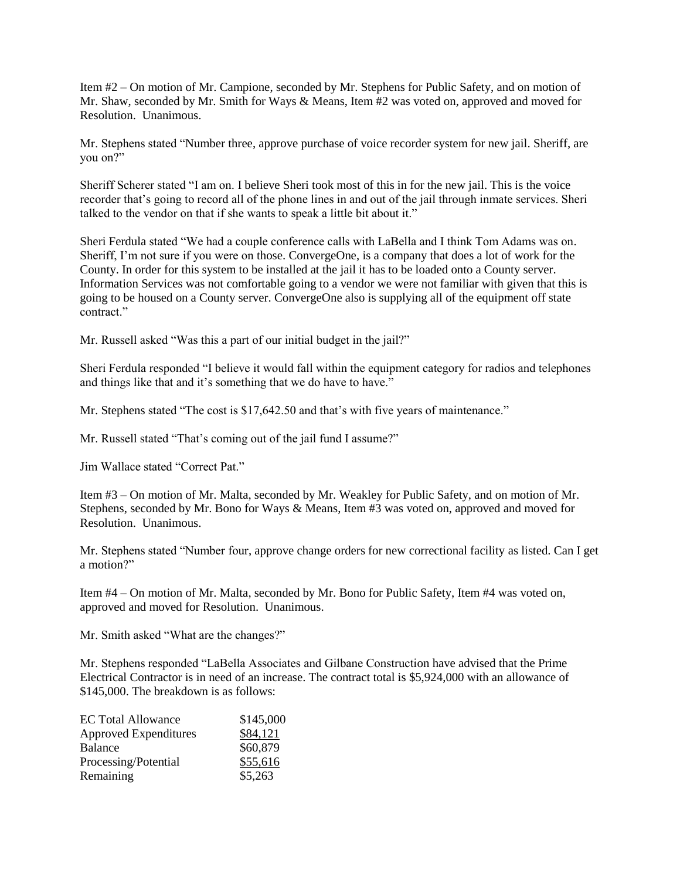Item #2 – On motion of Mr. Campione, seconded by Mr. Stephens for Public Safety, and on motion of Mr. Shaw, seconded by Mr. Smith for Ways & Means, Item #2 was voted on, approved and moved for Resolution. Unanimous.

Mr. Stephens stated "Number three, approve purchase of voice recorder system for new jail. Sheriff, are you on?"

Sheriff Scherer stated "I am on. I believe Sheri took most of this in for the new jail. This is the voice recorder that's going to record all of the phone lines in and out of the jail through inmate services. Sheri talked to the vendor on that if she wants to speak a little bit about it."

Sheri Ferdula stated "We had a couple conference calls with LaBella and I think Tom Adams was on. Sheriff, I'm not sure if you were on those. ConvergeOne, is a company that does a lot of work for the County. In order for this system to be installed at the jail it has to be loaded onto a County server. Information Services was not comfortable going to a vendor we were not familiar with given that this is going to be housed on a County server. ConvergeOne also is supplying all of the equipment off state contract."

Mr. Russell asked "Was this a part of our initial budget in the jail?"

Sheri Ferdula responded "I believe it would fall within the equipment category for radios and telephones and things like that and it's something that we do have to have."

Mr. Stephens stated "The cost is \$17,642.50 and that's with five years of maintenance."

Mr. Russell stated "That's coming out of the jail fund I assume?"

Jim Wallace stated "Correct Pat."

Item #3 – On motion of Mr. Malta, seconded by Mr. Weakley for Public Safety, and on motion of Mr. Stephens, seconded by Mr. Bono for Ways & Means, Item #3 was voted on, approved and moved for Resolution. Unanimous.

Mr. Stephens stated "Number four, approve change orders for new correctional facility as listed. Can I get a motion?"

Item #4 – On motion of Mr. Malta, seconded by Mr. Bono for Public Safety, Item #4 was voted on, approved and moved for Resolution. Unanimous.

Mr. Smith asked "What are the changes?"

Mr. Stephens responded "LaBella Associates and Gilbane Construction have advised that the Prime Electrical Contractor is in need of an increase. The contract total is \$5,924,000 with an allowance of \$145,000. The breakdown is as follows:

| <b>EC Total Allowance</b>    | \$145,000 |
|------------------------------|-----------|
| <b>Approved Expenditures</b> | \$84,121  |
| <b>Balance</b>               | \$60,879  |
| Processing/Potential         | \$55,616  |
| Remaining                    | \$5,263   |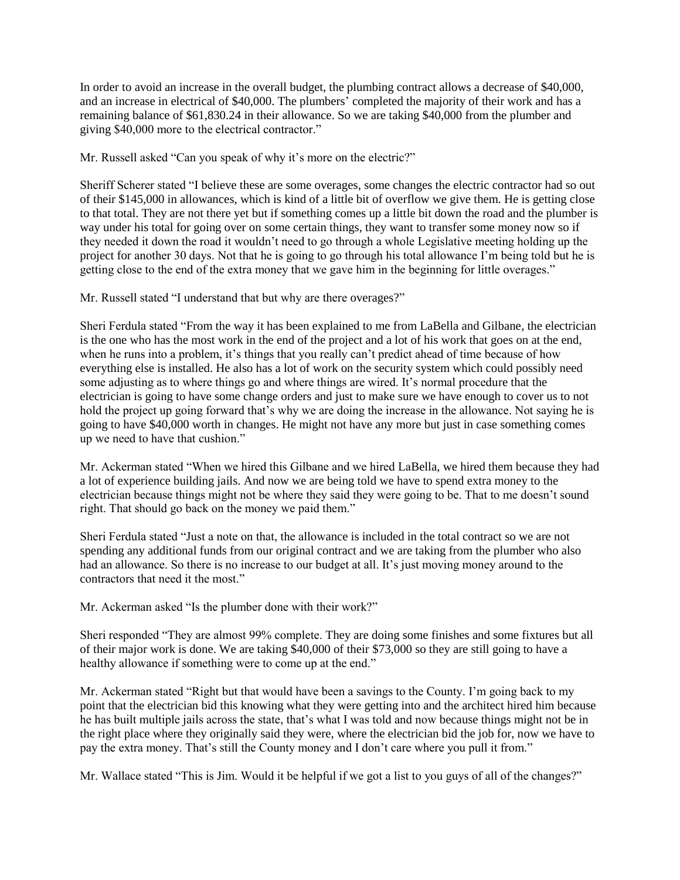In order to avoid an increase in the overall budget, the plumbing contract allows a decrease of \$40,000, and an increase in electrical of \$40,000. The plumbers' completed the majority of their work and has a remaining balance of \$61,830.24 in their allowance. So we are taking \$40,000 from the plumber and giving \$40,000 more to the electrical contractor."

Mr. Russell asked "Can you speak of why it's more on the electric?"

Sheriff Scherer stated "I believe these are some overages, some changes the electric contractor had so out of their \$145,000 in allowances, which is kind of a little bit of overflow we give them. He is getting close to that total. They are not there yet but if something comes up a little bit down the road and the plumber is way under his total for going over on some certain things, they want to transfer some money now so if they needed it down the road it wouldn't need to go through a whole Legislative meeting holding up the project for another 30 days. Not that he is going to go through his total allowance I'm being told but he is getting close to the end of the extra money that we gave him in the beginning for little overages."

Mr. Russell stated "I understand that but why are there overages?"

Sheri Ferdula stated "From the way it has been explained to me from LaBella and Gilbane, the electrician is the one who has the most work in the end of the project and a lot of his work that goes on at the end, when he runs into a problem, it's things that you really can't predict ahead of time because of how everything else is installed. He also has a lot of work on the security system which could possibly need some adjusting as to where things go and where things are wired. It's normal procedure that the electrician is going to have some change orders and just to make sure we have enough to cover us to not hold the project up going forward that's why we are doing the increase in the allowance. Not saying he is going to have \$40,000 worth in changes. He might not have any more but just in case something comes up we need to have that cushion."

Mr. Ackerman stated "When we hired this Gilbane and we hired LaBella, we hired them because they had a lot of experience building jails. And now we are being told we have to spend extra money to the electrician because things might not be where they said they were going to be. That to me doesn't sound right. That should go back on the money we paid them."

Sheri Ferdula stated "Just a note on that, the allowance is included in the total contract so we are not spending any additional funds from our original contract and we are taking from the plumber who also had an allowance. So there is no increase to our budget at all. It's just moving money around to the contractors that need it the most."

Mr. Ackerman asked "Is the plumber done with their work?"

Sheri responded "They are almost 99% complete. They are doing some finishes and some fixtures but all of their major work is done. We are taking \$40,000 of their \$73,000 so they are still going to have a healthy allowance if something were to come up at the end."

Mr. Ackerman stated "Right but that would have been a savings to the County. I'm going back to my point that the electrician bid this knowing what they were getting into and the architect hired him because he has built multiple jails across the state, that's what I was told and now because things might not be in the right place where they originally said they were, where the electrician bid the job for, now we have to pay the extra money. That's still the County money and I don't care where you pull it from."

Mr. Wallace stated "This is Jim. Would it be helpful if we got a list to you guys of all of the changes?"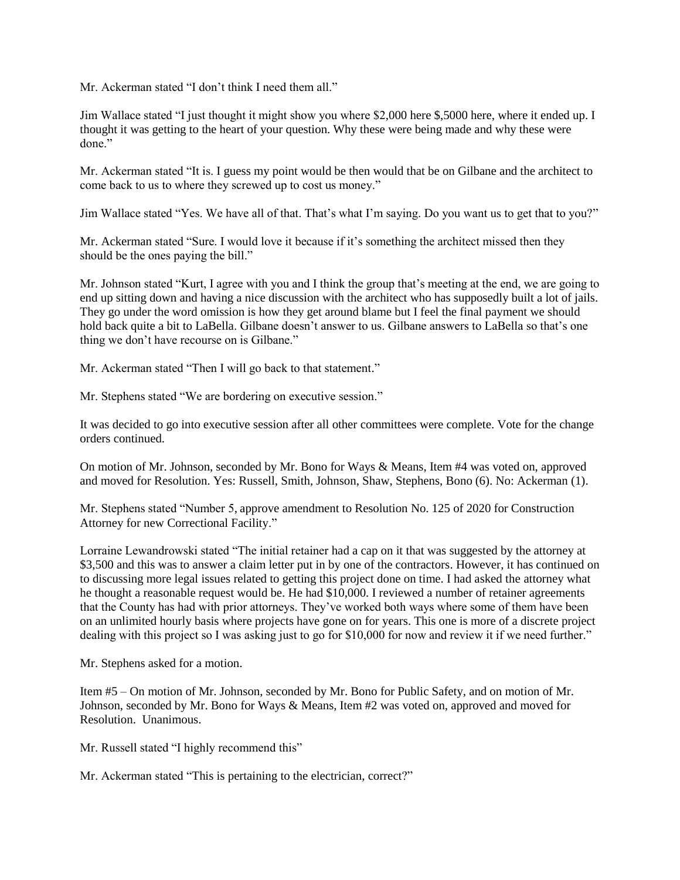Mr. Ackerman stated "I don't think I need them all."

Jim Wallace stated "I just thought it might show you where \$2,000 here \$,5000 here, where it ended up. I thought it was getting to the heart of your question. Why these were being made and why these were done."

Mr. Ackerman stated "It is. I guess my point would be then would that be on Gilbane and the architect to come back to us to where they screwed up to cost us money."

Jim Wallace stated "Yes. We have all of that. That's what I'm saying. Do you want us to get that to you?"

Mr. Ackerman stated "Sure. I would love it because if it's something the architect missed then they should be the ones paying the bill."

Mr. Johnson stated "Kurt, I agree with you and I think the group that's meeting at the end, we are going to end up sitting down and having a nice discussion with the architect who has supposedly built a lot of jails. They go under the word omission is how they get around blame but I feel the final payment we should hold back quite a bit to LaBella. Gilbane doesn't answer to us. Gilbane answers to LaBella so that's one thing we don't have recourse on is Gilbane."

Mr. Ackerman stated "Then I will go back to that statement."

Mr. Stephens stated "We are bordering on executive session."

It was decided to go into executive session after all other committees were complete. Vote for the change orders continued.

On motion of Mr. Johnson, seconded by Mr. Bono for Ways & Means, Item #4 was voted on, approved and moved for Resolution. Yes: Russell, Smith, Johnson, Shaw, Stephens, Bono (6). No: Ackerman (1).

Mr. Stephens stated "Number 5, approve amendment to Resolution No. 125 of 2020 for Construction Attorney for new Correctional Facility."

Lorraine Lewandrowski stated "The initial retainer had a cap on it that was suggested by the attorney at \$3,500 and this was to answer a claim letter put in by one of the contractors. However, it has continued on to discussing more legal issues related to getting this project done on time. I had asked the attorney what he thought a reasonable request would be. He had \$10,000. I reviewed a number of retainer agreements that the County has had with prior attorneys. They've worked both ways where some of them have been on an unlimited hourly basis where projects have gone on for years. This one is more of a discrete project dealing with this project so I was asking just to go for \$10,000 for now and review it if we need further."

Mr. Stephens asked for a motion.

Item #5 – On motion of Mr. Johnson, seconded by Mr. Bono for Public Safety, and on motion of Mr. Johnson, seconded by Mr. Bono for Ways & Means, Item #2 was voted on, approved and moved for Resolution. Unanimous.

Mr. Russell stated "I highly recommend this"

Mr. Ackerman stated "This is pertaining to the electrician, correct?"